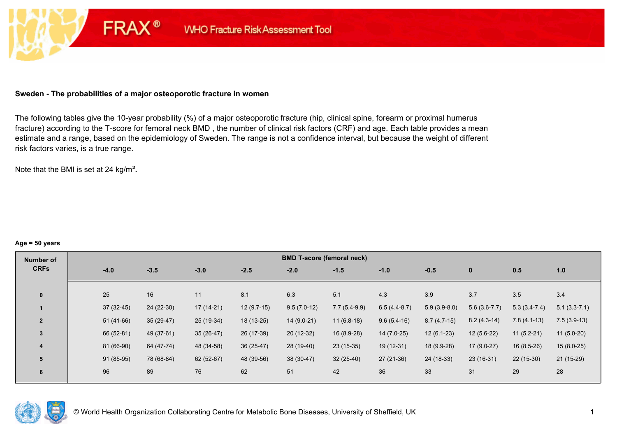### **Sweden - The probabilities of a major osteoporotic fracture in women**

**FRAX®** 

The following tables give the 10-year probability (%) of a major osteoporotic fracture (hip, clinical spine, forearm or proximal humerus fracture) according to the T-score for femoral neck BMD , the number of clinical risk factors (CRF) and age. Each table provides a mean estimate and a range, based on the epidemiology of Sweden. The range is not a confidence interval, but because the weight of different risk factors varies, is a true range.

Note that the BMI is set at 24 kg/m²**.** 

#### **Age = 50 years**

| Number of      |             |             |             |              | <b>BMD T-score (femoral neck)</b> |                |                |                |                |                |                |
|----------------|-------------|-------------|-------------|--------------|-----------------------------------|----------------|----------------|----------------|----------------|----------------|----------------|
| <b>CRFs</b>    | $-4.0$      | $-3.5$      | $-3.0$      | $-2.5$       | $-2.0$                            | $-1.5$         | $-1.0$         | $-0.5$         | $\bf{0}$       | 0.5            | 1.0            |
| $\mathbf{0}$   | 25          | 16          | 11          | 8.1          | 6.3                               | 5.1            | 4.3            | 3.9            | 3.7            | 3.5            | 3.4            |
|                |             |             |             |              |                                   |                |                |                |                |                |                |
|                | $37(32-45)$ | 24 (22-30)  | 17 (14-21)  | $12(9.7-15)$ | $9.5(7.0-12)$                     | $7.7(5.4-9.9)$ | $6.5(4.4-8.7)$ | $5.9(3.9-8.0)$ | $5.6(3.6-7.7)$ | $5.3(3.4-7.4)$ | $5.1(3.3-7.1)$ |
| $\overline{2}$ | $51(41-66)$ | $35(29-47)$ | 25 (19-34)  | $18(13-25)$  | $14(9.0-21)$                      | $11(6.8-18)$   | $9.6(5.4-16)$  | $8.7(4.7-15)$  | $8.2(4.3-14)$  | $7.8(4.1-13)$  | $7.5(3.9-13)$  |
| $\overline{3}$ | 66 (52-81)  | 49 (37-61)  | $35(26-47)$ | 26 (17-39)   | $20(12-32)$                       | 16 (8.9-28)    | 14 (7.0-25)    | $12(6.1-23)$   | $12(5.6-22)$   | $11(5.2-21)$   | $11(5.0-20)$   |
| 4              | 81 (66-90)  | 64 (47-74)  | 48 (34-58)  | $36(25-47)$  | 28 (19-40)                        | $23(15-35)$    | 19 (12-31)     | 18 (9.9-28)    | $17(9.0-27)$   | $16(8.5-26)$   | $15(8.0-25)$   |
| 5              | $91(85-95)$ | 78 (68-84)  | 62 (52-67)  | 48 (39-56)   | 38 (30-47)                        | $32(25-40)$    | $27(21-36)$    | 24 (18-33)     | $23(16-31)$    | $22(15-30)$    | $21(15-29)$    |
| 6              | 96          | 89          | 76          | 62           | 51                                | 42             | 36             | 33             | 31             | 29             | 28             |

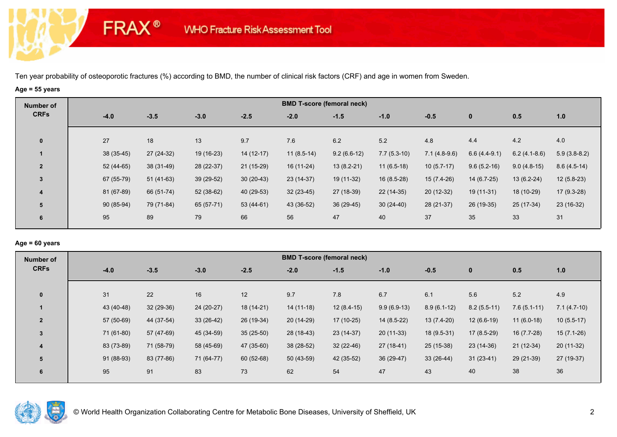# **Age = 55 years**

**FRAX®** 

| Number of               |            |             |             |             |              | <b>BMD T-score (femoral neck)</b> |               |                |                |                |                |
|-------------------------|------------|-------------|-------------|-------------|--------------|-----------------------------------|---------------|----------------|----------------|----------------|----------------|
| <b>CRFs</b>             | $-4.0$     | $-3.5$      | $-3.0$      | $-2.5$      | $-2.0$       | $-1.5$                            | $-1.0$        | $-0.5$         | $\mathbf 0$    | 0.5            | 1.0            |
|                         | 27         |             |             | 9.7         | 7.6          | 6.2                               | 5.2           | 4.8            | 4.4            | 4.2            | 4.0            |
| $\bf{0}$                |            | 18          | 13          |             |              |                                   |               |                |                |                |                |
|                         | 38 (35-45) | $27(24-32)$ | 19 (16-23)  | $14(12-17)$ | $11(8.5-14)$ | $9.2(6.6-12)$                     | $7.7(5.3-10)$ | $7.1(4.8-9.6)$ | $6.6(4.4-9.1)$ | $6.2(4.1-8.6)$ | $5.9(3.8-8.2)$ |
| $\overline{2}$          | 52 (44-65) | 38 (31-49)  | 28 (22-37)  | $21(15-29)$ | 16 (11-24)   | $13(8.2-21)$                      | $11(6.5-18)$  | $10(5.7-17)$   | $9.6(5.2-16)$  | $9.0(4.8-15)$  | $8.6(4.5-14)$  |
| 3                       | 67 (55-79) | $51(41-63)$ | $39(29-52)$ | $30(20-43)$ | 23 (14-37)   | 19 (11-32)                        | $16(8.5-28)$  | $15(7.4-26)$   | 14 (6.7-25)    | $13(6.2-24)$   | $12(5.8-23)$   |
| $\overline{\mathbf{4}}$ | 81 (67-89) | 66 (51-74)  | 52 (38-62)  | 40 (29-53)  | $32(23-45)$  | 27 (18-39)                        | $22(14-35)$   | $20(12-32)$    | 19 (11-31)     | 18 (10-29)     | $17(9.3-28)$   |
| 5                       | 90 (85-94) | 79 (71-84)  | 65 (57-71)  | $53(44-61)$ | 43 (36-52)   | $36(29-45)$                       | $30(24-40)$   | 28 (21-37)     | 26 (19-35)     | 25 (17-34)     | 23 (16-32)     |
| 6                       | 95         | 89          | 79          | 66          | 56           | 47                                | 40            | 37             | 35             | 33             | 31             |
|                         |            |             |             |             |              |                                   |               |                |                |                |                |

### **Age = 60 years**

| <b>CRFs</b><br>$-3.5$<br>$-3.0$<br>$-2.5$<br>$-4.0$<br>$-2.0$<br>$-1.5$<br>0.5<br>$-1.0$<br>$-0.5$<br>$\mathbf 0$                                                     | 1.0           |
|-----------------------------------------------------------------------------------------------------------------------------------------------------------------------|---------------|
|                                                                                                                                                                       |               |
| 22<br>5.6<br>31<br>16<br>12<br>5.2<br>9.7<br>7.8<br>6.7<br>6.1<br>$\mathbf{0}$                                                                                        | 4.9           |
| 43 (40-48)<br>$32(29-36)$<br>$9.9(6.9-13)$<br>24 (20-27)<br>18 (14-21)<br>$14(11-18)$<br>$12(8.4-15)$<br>$8.9(6.1-12)$<br>$8.2(5.5-11)$<br>$7.6(5.1-11)$              | $7.1(4.7-10)$ |
| 57 (50-69)<br>$33(26-42)$<br>26 (19-34)<br>$20(14-29)$<br>$17(10-25)$<br>44 (37-54)<br>$14(8.5-22)$<br>$13(7.4-20)$<br>$12(6.6-19)$<br>$11(6.0-18)$<br>$\overline{2}$ | $10(5.5-17)$  |
| 71 (61-80)<br>45 (34-59)<br>$35(25-50)$<br>28 (18-43)<br>$23(14-37)$<br>$20(11-33)$<br>$17(8.5-29)$<br>$16(7.7-28)$<br>57 (47-69)<br>$18(9.5-31)$<br>3                | $15(7.1-26)$  |
| 83 (73-89)<br>58 (45-69)<br>47 (35-60)<br>38 (28-52)<br>$32(22-46)$<br>71 (58-79)<br>27 (18-41)<br>25 (15-38)<br>23 (14-36)<br>$21(12-34)$<br>$\overline{\mathbf{4}}$ | 20 (11-32)    |
| 91 (88-93)<br>42 (35-52)<br>83 (77-86)<br>71 (64-77)<br>$60(52-68)$<br>$50(43-59)$<br>$36(29-47)$<br>$33(26-44)$<br>$31(23-41)$<br>29 (21-39)<br>5                    | 27 (19-37)    |
| 95<br>91<br>83<br>73<br>62<br>47<br>43<br>54<br>40<br>38<br>6                                                                                                         | 36            |

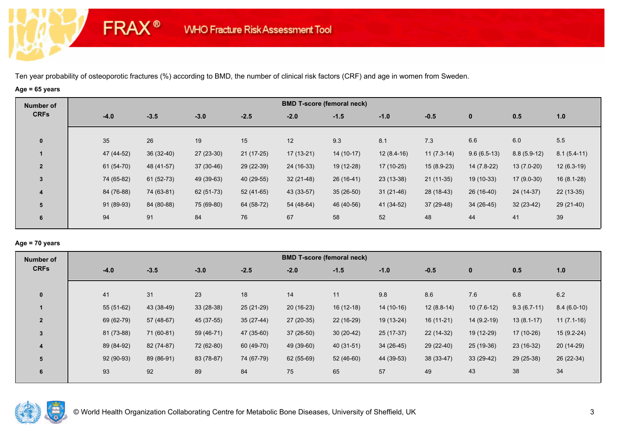# **Age = 65 years**

**FRAX®** 

| Number of    |             |             |             |             |             | <b>BMD T-score (femoral neck)</b> |              |              |               |               |               |
|--------------|-------------|-------------|-------------|-------------|-------------|-----------------------------------|--------------|--------------|---------------|---------------|---------------|
| <b>CRFs</b>  | $-4.0$      | $-3.5$      | $-3.0$      | $-2.5$      | $-2.0$      | $-1.5$                            | $-1.0$       | $-0.5$       | $\bf{0}$      | 0.5           | 1.0           |
| $\mathbf 0$  | 35          | 26          | 19          | 15          | 12          | 9.3                               | 8.1          | 7.3          | 6.6           | 6.0           | 5.5           |
|              | 47 (44-52)  | $36(32-40)$ | $27(23-30)$ | $21(17-25)$ | $17(13-21)$ | $14(10-17)$                       | $12(8.4-16)$ | $11(7.3-14)$ | $9.6(6.5-13)$ | $8.8(5.9-12)$ | $8.1(5.4-11)$ |
| $\mathbf{2}$ | $61(54-70)$ | 48 (41-57)  | $37(30-46)$ | 29 (22-39)  | 24 (16-33)  | 19 (12-28)                        | $17(10-25)$  | $15(8.9-23)$ | $14(7.8-22)$  | $13(7.0-20)$  | $12(6.3-19)$  |
| 3            | 74 (65-82)  | $61(52-73)$ | 49 (39-63)  | 40 (29-55)  | $32(21-48)$ | $26(16-41)$                       | $23(13-38)$  | $21(11-35)$  | $19(10-33)$   | $17(9.0-30)$  | $16(8.1-28)$  |
| 4            | 84 (76-88)  | 74 (63-81)  | 62 (51-73)  | 52 (41-65)  | 43 (33-57)  | $35(26-50)$                       | $31(21-46)$  | 28 (18-43)   | 26 (16-40)    | 24 (14-37)    | $22(13-35)$   |
| 5            | 91 (89-93)  | 84 (80-88)  | 75 (69-80)  | 64 (58-72)  | 54 (48-64)  | 46 (40-56)                        | 41 (34-52)   | 37 (29-48)   | $34(26-45)$   | $32(23-42)$   | 29 (21-40)    |
| 6            | 94          | 91          | 84          | 76          | 67          | 58                                | 52           | 48           | 44            | 41            | 39            |

### **Age = 70 years**

| Number of               |             |             |             |             |             | <b>BMD T-score (femoral neck)</b> |             |              |              |               |               |
|-------------------------|-------------|-------------|-------------|-------------|-------------|-----------------------------------|-------------|--------------|--------------|---------------|---------------|
| <b>CRFs</b>             | $-4.0$      | $-3.5$      | $-3.0$      | $-2.5$      | $-2.0$      | $-1.5$                            | $-1.0$      | $-0.5$       | $\mathbf 0$  | 0.5           | $1.0$         |
|                         |             |             |             |             |             |                                   |             |              |              |               |               |
| $\mathbf{0}$            | 41          | 31          | 23          | 18          | 14          | 11                                | 9.8         | 8.6          | 7.6          | 6.8           | 6.2           |
|                         | $55(51-62)$ | 43 (38-49)  | $33(28-38)$ | 25 (21-29)  | $20(16-23)$ | $16(12-18)$                       | $14(10-16)$ | $12(8.8-14)$ | $10(7.6-12)$ | $9.3(6.7-11)$ | $8.4(6.0-10)$ |
| $\overline{2}$          | 69 (62-79)  | $57(48-67)$ | 45 (37-55)  | $35(27-44)$ | $27(20-35)$ | 22 (16-29)                        | 19 (13-24)  | $16(11-21)$  | $14(9.2-19)$ | $13(8.1-17)$  | $11(7.1-16)$  |
| $\overline{3}$          | 81 (73-88)  | 71 (60-81)  | 59 (46-71)  | 47 (35-60)  | $37(26-50)$ | $30(20-42)$                       | 25 (17-37)  | 22 (14-32)   | 19 (12-29)   | $17(10-26)$   | $15(9.2-24)$  |
| $\overline{\mathbf{4}}$ | 89 (84-92)  | 82 (74-87)  | 72 (62-80)  | 60 (49-70)  | 49 (39-60)  | 40 (31-51)                        | $34(26-45)$ | 29 (22-40)   | 25 (19-36)   | 23 (16-32)    | 20 (14-29)    |
| 5                       | 92 (90-93)  | 89 (86-91)  | 83 (78-87)  | 74 (67-79)  | 62 (55-69)  | $52(46-60)$                       | 44 (39-53)  | 38 (33-47)   | $33(29-42)$  | 29 (25-38)    | 26 (22-34)    |
| 6                       | 93          | 92          | 89          | 84          | 75          | 65                                | 57          | 49           | 43           | 38            | 34            |
|                         |             |             |             |             |             |                                   |             |              |              |               |               |

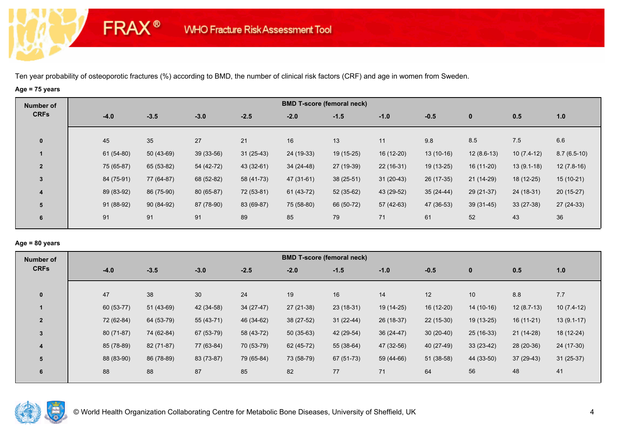# **Age = 75 years**

**FRAX®** 

| Number of               |             |             |             |             |             | <b>BMD T-score (femoral neck)</b> |             |             |              |              |               |
|-------------------------|-------------|-------------|-------------|-------------|-------------|-----------------------------------|-------------|-------------|--------------|--------------|---------------|
| <b>CRFs</b>             | $-4.0$      | $-3.5$      | $-3.0$      | $-2.5$      | $-2.0$      | $-1.5$                            | $-1.0$      | $-0.5$      | $\bf{0}$     | 0.5          | 1.0           |
|                         |             |             |             |             |             |                                   |             |             |              |              |               |
| $\bf{0}$                | 45          | 35          | 27          | 21          | 16          | 13                                | 11          | 9.8         | 8.5          | 7.5          | 6.6           |
|                         | $61(54-80)$ | $50(43-69)$ | $39(33-56)$ | $31(25-43)$ | 24 (19-33)  | $19(15-25)$                       | 16 (12-20)  | $13(10-16)$ | $12(8.6-13)$ | $10(7.4-12)$ | $8.7(6.5-10)$ |
| $\overline{2}$          | 75 (65-87)  | 65 (53-82)  | 54 (42-72)  | 43 (32-61)  | 34 (24-48)  | 27 (19-39)                        | $22(16-31)$ | $19(13-25)$ | $16(11-20)$  | $13(9.1-18)$ | $12(7.8-16)$  |
| 3                       | 84 (75-91)  | 77 (64-87)  | 68 (52-82)  | 58 (41-73)  | 47 (31-61)  | $38(25-51)$                       | $31(20-43)$ | 26 (17-35)  | $21(14-29)$  | $18(12-25)$  | $15(10-21)$   |
| $\overline{\mathbf{4}}$ | 89 (83-92)  | 86 (75-90)  | 80 (65-87)  | 72 (53-81)  | $61(43-72)$ | 52 (35-62)                        | 43 (29-52)  | $35(24-44)$ | 29 (21-37)   | 24 (18-31)   | $20(15-27)$   |
| 5                       | 91 (88-92)  | $90(84-92)$ | 87 (78-90)  | 83 (69-87)  | 75 (58-80)  | 66 (50-72)                        | 57 (42-63)  | 47 (36-53)  | $39(31-45)$  | $33(27-38)$  | $27(24-33)$   |
| 6                       | 91          | 91          | 91          | 89          | 85          | 79                                | 71          | 61          | 52           | 43           | 36            |
|                         |             |             |             |             |             |                                   |             |             |              |              |               |

### **Age = 80 years**

| Number of               |            |             |             |             |             | <b>BMD T-score (femoral neck)</b> |             |             |             |              |              |
|-------------------------|------------|-------------|-------------|-------------|-------------|-----------------------------------|-------------|-------------|-------------|--------------|--------------|
| <b>CRFs</b>             | $-4.0$     | $-3.5$      | $-3.0$      | $-2.5$      | $-2.0$      | $-1.5$                            | $-1.0$      | $-0.5$      | $\mathbf 0$ | 0.5          | $1.0$        |
|                         |            |             |             |             |             |                                   |             |             |             |              |              |
| $\mathbf{0}$            | 47         | 38          | 30          | 24          | 19          | 16                                | 14          | 12          | 10          | 8.8          | 7.7          |
|                         | 60 (53-77) | $51(43-69)$ | 42 (34-58)  | $34(27-47)$ | $27(21-38)$ | $23(18-31)$                       | 19 (14-25)  | 16 (12-20)  | $14(10-16)$ | $12(8.7-13)$ | $10(7.4-12)$ |
| $\overline{2}$          | 72 (62-84) | 64 (53-79)  | $55(43-71)$ | 46 (34-62)  | $38(27-52)$ | $31(22-44)$                       | 26 (18-37)  | $22(15-30)$ | $19(13-25)$ | $16(11-21)$  | $13(9.1-17)$ |
| $\overline{3}$          | 80 (71-87) | 74 (62-84)  | 67 (53-79)  | 58 (43-72)  | $50(35-63)$ | 42 (29-54)                        | $36(24-47)$ | $30(20-40)$ | $25(16-33)$ | $21(14-28)$  | 18 (12-24)   |
| $\overline{\mathbf{4}}$ | 85 (78-89) | 82 (71-87)  | 77 (63-84)  | 70 (53-79)  | 62 (45-72)  | 55 (38-64)                        | 47 (32-56)  | 40 (27-49)  | $33(23-42)$ | 28 (20-36)   | 24 (17-30)   |
| 5                       | 88 (83-90) | 86 (78-89)  | 83 (73-87)  | 79 (65-84)  | 73 (58-79)  | 67 (51-73)                        | 59 (44-66)  | $51(38-58)$ | 44 (33-50)  | $37(29-43)$  | $31(25-37)$  |
| 6                       | 88         | 88          | 87          | 85          | 82          | 77                                | 71          | 64          | 56          | 48           | 41           |
|                         |            |             |             |             |             |                                   |             |             |             |              |              |